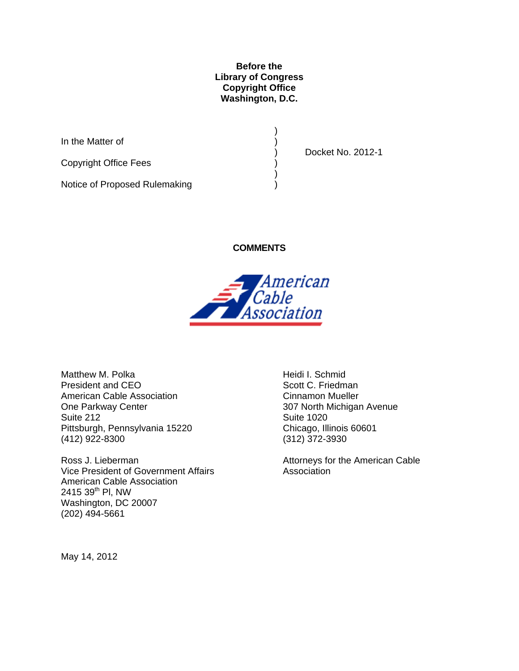#### **Before the Library of Congress Copyright Office Washington, D.C.**

In the Matter of  $($ 

Copyright Office Fees )

Notice of Proposed Rulemaking )

) and the contract of  $\mathcal{L}$ 

) and the contract of  $\mathcal{L}$ 

) Docket No. 2012-1

**COMMENTS** 



Matthew M. Polka President and CEO American Cable Association One Parkway Center Suite 212 Pittsburgh, Pennsylvania 15220 (412) 922-8300

Ross J. Lieberman Vice President of Government Affairs American Cable Association 2415 39<sup>th</sup> PI, NW Washington, DC 20007 (202) 494-5661

Heidi I. Schmid Scott C. Friedman Cinnamon Mueller 307 North Michigan Avenue Suite 1020 Chicago, Illinois 60601 (312) 372-3930

Attorneys for the American Cable **Association** 

May 14, 2012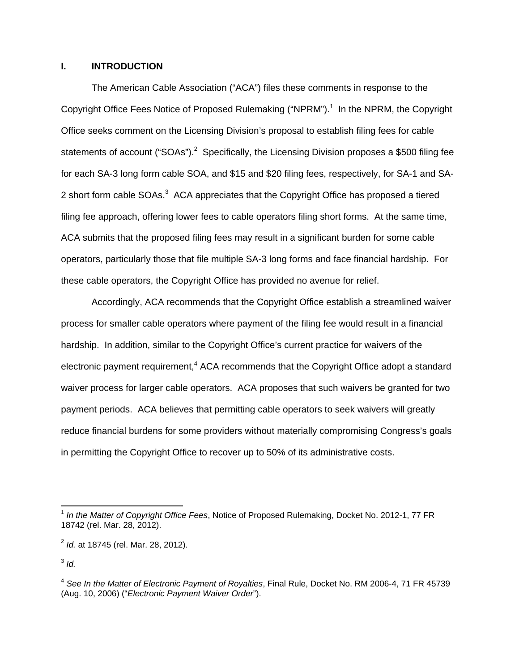#### **I. INTRODUCTION**

The American Cable Association ("ACA") files these comments in response to the Copyright Office Fees Notice of Proposed Rulemaking ("NPRM").<sup>1</sup> In the NPRM, the Copyright Office seeks comment on the Licensing Division's proposal to establish filing fees for cable statements of account ("SOAs").<sup>2</sup> Specifically, the Licensing Division proposes a \$500 filing fee for each SA-3 long form cable SOA, and \$15 and \$20 filing fees, respectively, for SA-1 and SA-2 short form cable SOAs.<sup>3</sup> ACA appreciates that the Copyright Office has proposed a tiered filing fee approach, offering lower fees to cable operators filing short forms. At the same time, ACA submits that the proposed filing fees may result in a significant burden for some cable operators, particularly those that file multiple SA-3 long forms and face financial hardship. For these cable operators, the Copyright Office has provided no avenue for relief.

Accordingly, ACA recommends that the Copyright Office establish a streamlined waiver process for smaller cable operators where payment of the filing fee would result in a financial hardship. In addition, similar to the Copyright Office's current practice for waivers of the electronic payment requirement, $4$  ACA recommends that the Copyright Office adopt a standard waiver process for larger cable operators. ACA proposes that such waivers be granted for two payment periods. ACA believes that permitting cable operators to seek waivers will greatly reduce financial burdens for some providers without materially compromising Congress's goals in permitting the Copyright Office to recover up to 50% of its administrative costs.

 $\overline{a}$ <sup>1</sup> *In the Matter of Copyright Office Fees*, Notice of Proposed Rulemaking, Docket No. 2012-1, 77 FR 18742 (rel. Mar. 28, 2012).

<sup>2</sup> *Id.* at 18745 (rel. Mar. 28, 2012).

 $3$  *Id.* 

<sup>4</sup> *See In the Matter of Electronic Payment of Royalties*, Final Rule, Docket No. RM 2006-4, 71 FR 45739 (Aug. 10, 2006) ("*Electronic Payment Waiver Order*").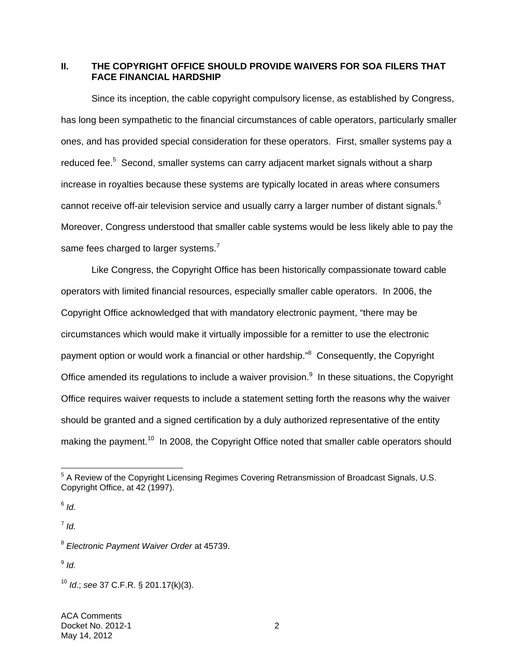# **II. THE COPYRIGHT OFFICE SHOULD PROVIDE WAIVERS FOR SOA FILERS THAT FACE FINANCIAL HARDSHIP**

Since its inception, the cable copyright compulsory license, as established by Congress, has long been sympathetic to the financial circumstances of cable operators, particularly smaller ones, and has provided special consideration for these operators. First, smaller systems pay a reduced fee.<sup>5</sup> Second, smaller systems can carry adjacent market signals without a sharp increase in royalties because these systems are typically located in areas where consumers cannot receive off-air television service and usually carry a larger number of distant signals. $^6$ Moreover, Congress understood that smaller cable systems would be less likely able to pay the same fees charged to larger systems.<sup>7</sup>

Like Congress, the Copyright Office has been historically compassionate toward cable operators with limited financial resources, especially smaller cable operators. In 2006, the Copyright Office acknowledged that with mandatory electronic payment, "there may be circumstances which would make it virtually impossible for a remitter to use the electronic payment option or would work a financial or other hardship."<sup>8</sup> Consequently, the Copyright Office amended its regulations to include a waiver provision. $9$  In these situations, the Copyright Office requires waiver requests to include a statement setting forth the reasons why the waiver should be granted and a signed certification by a duly authorized representative of the entity making the payment.<sup>10</sup> In 2008, the Copyright Office noted that smaller cable operators should

 $6$  *Id.* 

 $<sup>7</sup>$  *Id.*</sup>

 $9$  *Id.* 

 5 A Review of the Copyright Licensing Regimes Covering Retransmission of Broadcast Signals, U.S. Copyright Office, at 42 (1997).

<sup>8</sup> *Electronic Payment Waiver Order* at 45739.

<sup>10</sup> *Id.*; *see* 37 C.F.R. § 201.17(k)(3).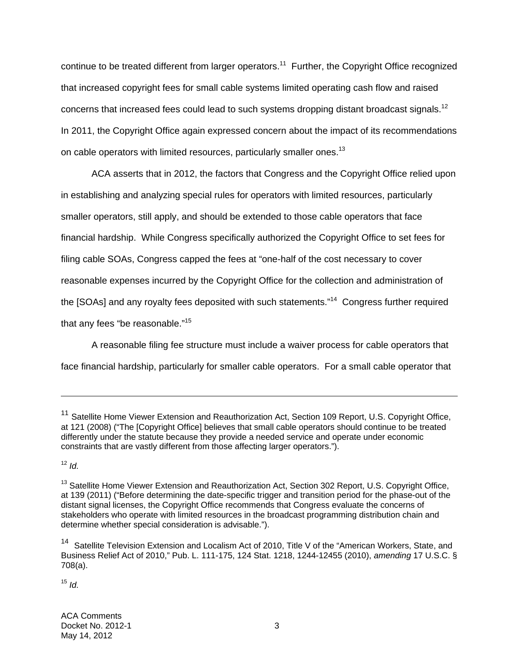continue to be treated different from larger operators.<sup>11</sup> Further, the Copyright Office recognized that increased copyright fees for small cable systems limited operating cash flow and raised concerns that increased fees could lead to such systems dropping distant broadcast signals.<sup>12</sup> In 2011, the Copyright Office again expressed concern about the impact of its recommendations on cable operators with limited resources, particularly smaller ones.<sup>13</sup>

ACA asserts that in 2012, the factors that Congress and the Copyright Office relied upon in establishing and analyzing special rules for operators with limited resources, particularly smaller operators, still apply, and should be extended to those cable operators that face financial hardship. While Congress specifically authorized the Copyright Office to set fees for filing cable SOAs, Congress capped the fees at "one-half of the cost necessary to cover reasonable expenses incurred by the Copyright Office for the collection and administration of the [SOAs] and any royalty fees deposited with such statements."<sup>14</sup> Congress further required that any fees "be reasonable."15

A reasonable filing fee structure must include a waiver process for cable operators that face financial hardship, particularly for smaller cable operators. For a small cable operator that

<sup>12</sup> *Id.*

 $\overline{a}$ 

 $15$  *Id*.

ACA Comments Docket No. 2012-1 3 May 14, 2012

<sup>&</sup>lt;sup>11</sup> Satellite Home Viewer Extension and Reauthorization Act, Section 109 Report, U.S. Copyright Office, at 121 (2008) ("The [Copyright Office] believes that small cable operators should continue to be treated differently under the statute because they provide a needed service and operate under economic constraints that are vastly different from those affecting larger operators.").

<sup>&</sup>lt;sup>13</sup> Satellite Home Viewer Extension and Reauthorization Act, Section 302 Report, U.S. Copyright Office, at 139 (2011) ("Before determining the date-specific trigger and transition period for the phase-out of the distant signal licenses, the Copyright Office recommends that Congress evaluate the concerns of stakeholders who operate with limited resources in the broadcast programming distribution chain and determine whether special consideration is advisable.").

<sup>&</sup>lt;sup>14</sup> Satellite Television Extension and Localism Act of 2010, Title V of the "American Workers, State, and Business Relief Act of 2010," Pub. L. 111-175, 124 Stat. 1218, 1244-12455 (2010), *amending* 17 U.S.C. § 708(a).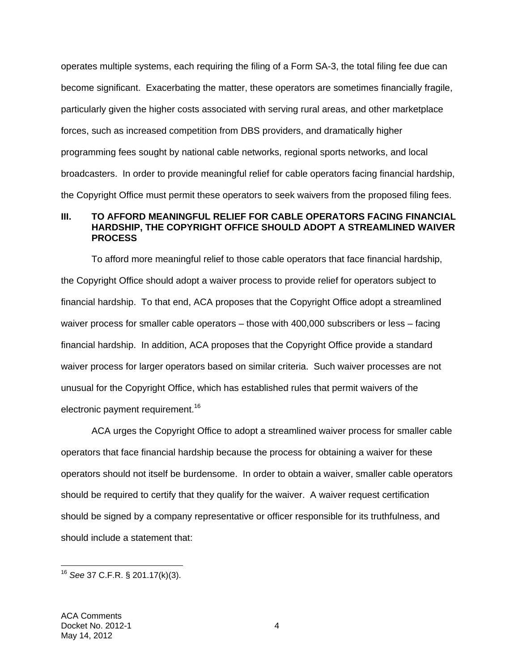operates multiple systems, each requiring the filing of a Form SA-3, the total filing fee due can become significant. Exacerbating the matter, these operators are sometimes financially fragile, particularly given the higher costs associated with serving rural areas, and other marketplace forces, such as increased competition from DBS providers, and dramatically higher programming fees sought by national cable networks, regional sports networks, and local broadcasters. In order to provide meaningful relief for cable operators facing financial hardship, the Copyright Office must permit these operators to seek waivers from the proposed filing fees.

### **III. TO AFFORD MEANINGFUL RELIEF FOR CABLE OPERATORS FACING FINANCIAL HARDSHIP, THE COPYRIGHT OFFICE SHOULD ADOPT A STREAMLINED WAIVER PROCESS**

To afford more meaningful relief to those cable operators that face financial hardship, the Copyright Office should adopt a waiver process to provide relief for operators subject to financial hardship. To that end, ACA proposes that the Copyright Office adopt a streamlined waiver process for smaller cable operators – those with 400,000 subscribers or less – facing financial hardship. In addition, ACA proposes that the Copyright Office provide a standard waiver process for larger operators based on similar criteria. Such waiver processes are not unusual for the Copyright Office, which has established rules that permit waivers of the electronic payment requirement.<sup>16</sup>

ACA urges the Copyright Office to adopt a streamlined waiver process for smaller cable operators that face financial hardship because the process for obtaining a waiver for these operators should not itself be burdensome. In order to obtain a waiver, smaller cable operators should be required to certify that they qualify for the waiver. A waiver request certification should be signed by a company representative or officer responsible for its truthfulness, and should include a statement that:

 $\overline{a}$ 

<sup>16</sup> *See* 37 C.F.R. § 201.17(k)(3).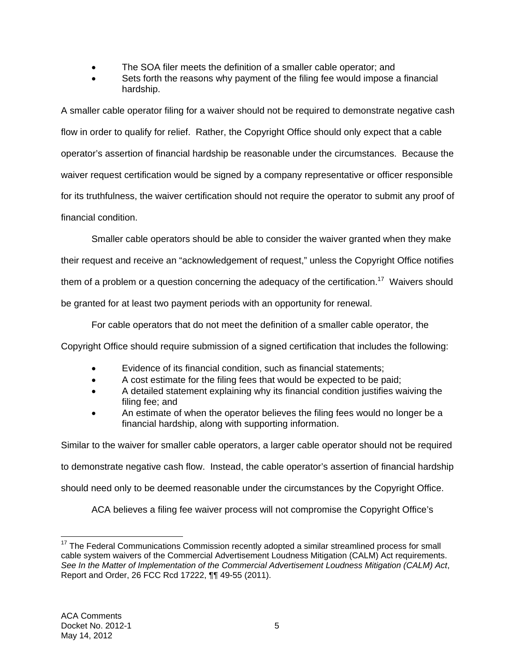- The SOA filer meets the definition of a smaller cable operator; and
- Sets forth the reasons why payment of the filing fee would impose a financial hardship.

A smaller cable operator filing for a waiver should not be required to demonstrate negative cash flow in order to qualify for relief. Rather, the Copyright Office should only expect that a cable operator's assertion of financial hardship be reasonable under the circumstances. Because the waiver request certification would be signed by a company representative or officer responsible for its truthfulness, the waiver certification should not require the operator to submit any proof of financial condition.

Smaller cable operators should be able to consider the waiver granted when they make

their request and receive an "acknowledgement of request," unless the Copyright Office notifies

them of a problem or a question concerning the adequacy of the certification.<sup>17</sup> Waivers should

be granted for at least two payment periods with an opportunity for renewal.

For cable operators that do not meet the definition of a smaller cable operator, the

Copyright Office should require submission of a signed certification that includes the following:

- Evidence of its financial condition, such as financial statements;
- A cost estimate for the filing fees that would be expected to be paid;
- A detailed statement explaining why its financial condition justifies waiving the filing fee; and
- An estimate of when the operator believes the filing fees would no longer be a financial hardship, along with supporting information.

Similar to the waiver for smaller cable operators, a larger cable operator should not be required

to demonstrate negative cash flow. Instead, the cable operator's assertion of financial hardship

should need only to be deemed reasonable under the circumstances by the Copyright Office.

ACA believes a filing fee waiver process will not compromise the Copyright Office's

 $\overline{a}$  $17$  The Federal Communications Commission recently adopted a similar streamlined process for small cable system waivers of the Commercial Advertisement Loudness Mitigation (CALM) Act requirements. *See In the Matter of Implementation of the Commercial Advertisement Loudness Mitigation (CALM) Act*, Report and Order, 26 FCC Rcd 17222, ¶¶ 49-55 (2011).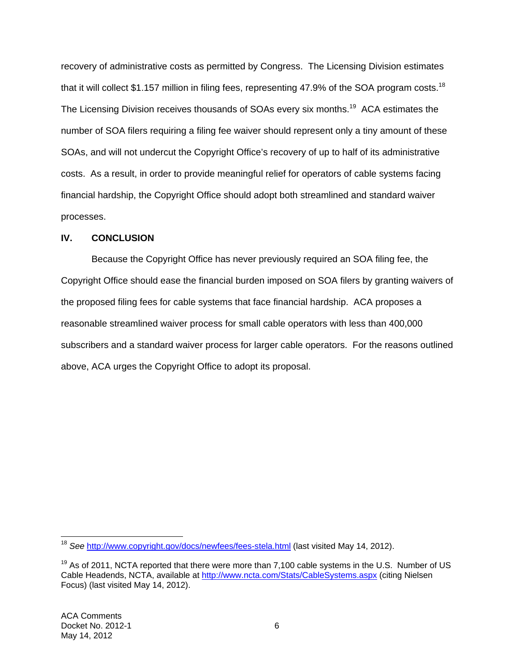recovery of administrative costs as permitted by Congress. The Licensing Division estimates that it will collect \$1.157 million in filing fees, representing 47.9% of the SOA program costs.<sup>18</sup> The Licensing Division receives thousands of SOAs every six months.<sup>19</sup> ACA estimates the number of SOA filers requiring a filing fee waiver should represent only a tiny amount of these SOAs, and will not undercut the Copyright Office's recovery of up to half of its administrative costs. As a result, in order to provide meaningful relief for operators of cable systems facing financial hardship, the Copyright Office should adopt both streamlined and standard waiver processes.

# **IV. CONCLUSION**

Because the Copyright Office has never previously required an SOA filing fee, the Copyright Office should ease the financial burden imposed on SOA filers by granting waivers of the proposed filing fees for cable systems that face financial hardship. ACA proposes a reasonable streamlined waiver process for small cable operators with less than 400,000 subscribers and a standard waiver process for larger cable operators. For the reasons outlined above, ACA urges the Copyright Office to adopt its proposal.

 $\overline{a}$ <sup>18</sup> See http://www.copyright.gov/docs/newfees/fees-stela.html (last visited May 14, 2012).

 $19$  As of 2011, NCTA reported that there were more than 7,100 cable systems in the U.S. Number of US Cable Headends, NCTA, available at http://www.ncta.com/Stats/CableSystems.aspx (citing Nielsen Focus) (last visited May 14, 2012).